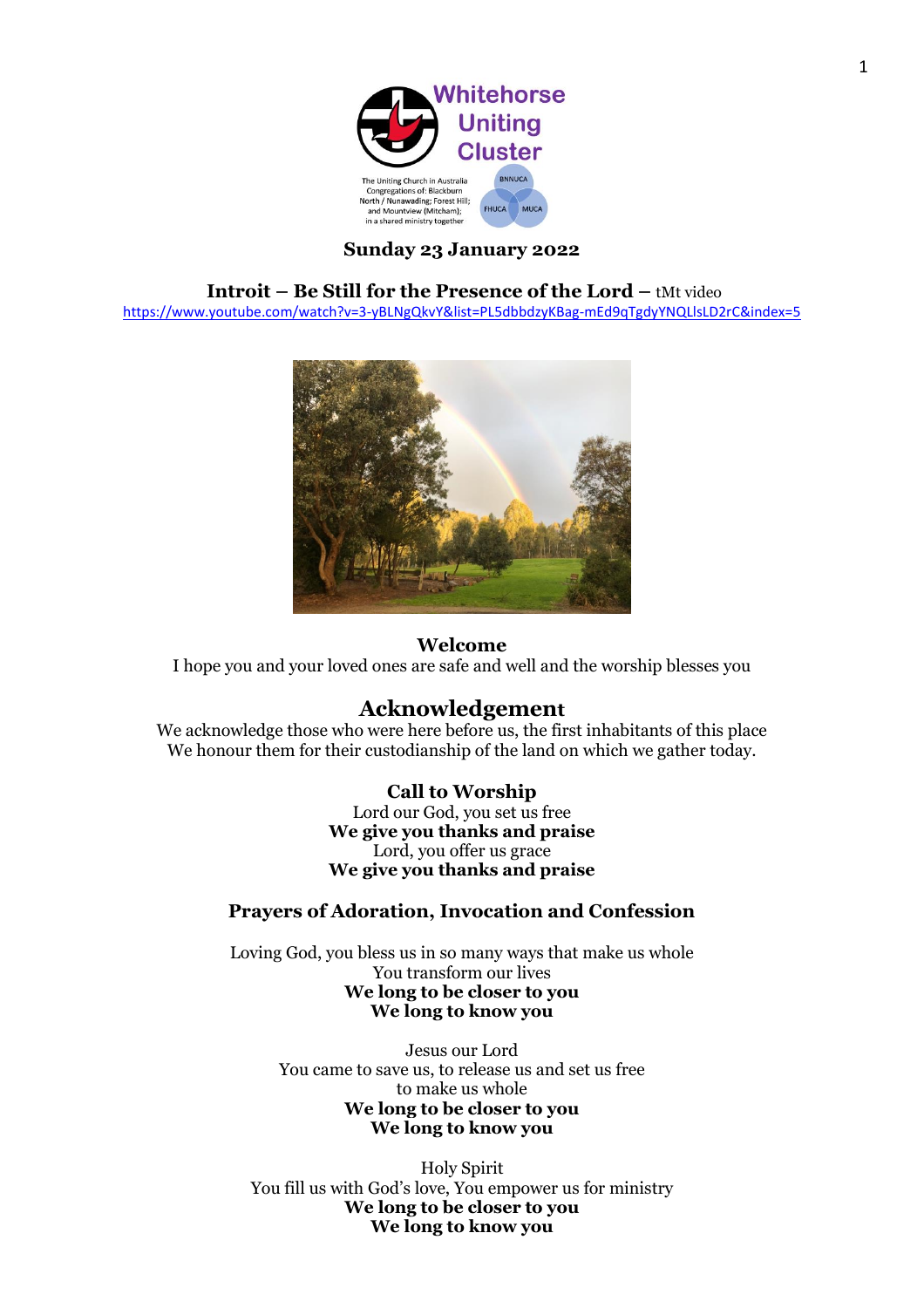

## **Sunday 23 January 2022**

### **Introit – Be Still for the Presence of the Lord – tMt video**

<https://www.youtube.com/watch?v=3-yBLNgQkvY&list=PL5dbbdzyKBag-mEd9qTgdyYNQLlsLD2rC&index=5>



### **Welcome**

I hope you and your loved ones are safe and well and the worship blesses you

# **Acknowledgement**

We acknowledge those who were here before us, the first inhabitants of this place We honour them for their custodianship of the land on which we gather today.

### **Call to Worship**

Lord our God, you set us free **We give you thanks and praise** Lord, you offer us grace **We give you thanks and praise**

### **Prayers of Adoration, Invocation and Confession**

Loving God, you bless us in so many ways that make us whole You transform our lives **We long to be closer to you We long to know you**

> Jesus our Lord You came to save us, to release us and set us free to make us whole **We long to be closer to you We long to know you**

Holy Spirit You fill us with God's love, You empower us for ministry **We long to be closer to you We long to know you**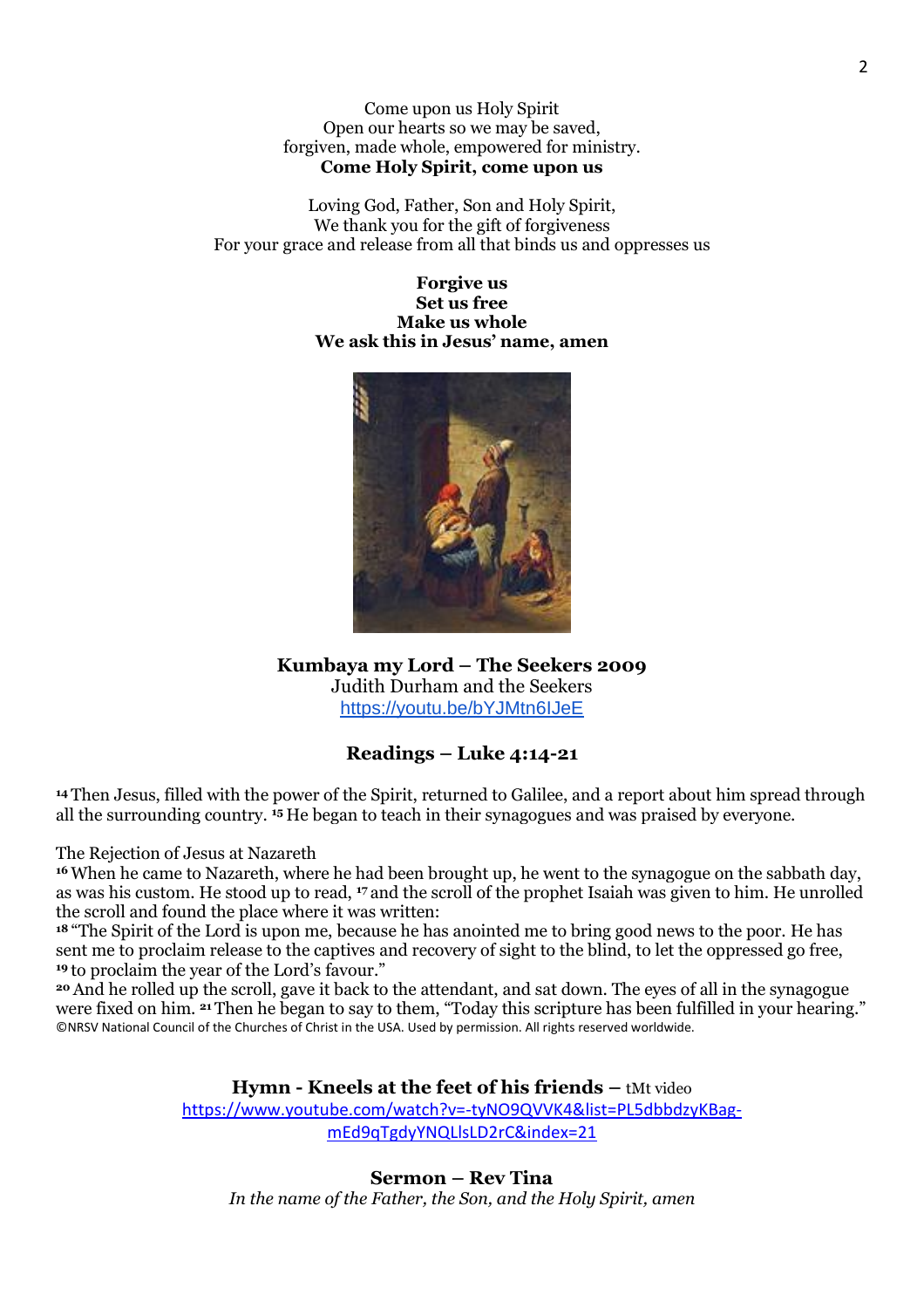Come upon us Holy Spirit Open our hearts so we may be saved, forgiven, made whole, empowered for ministry. **Come Holy Spirit, come upon us**

Loving God, Father, Son and Holy Spirit, We thank you for the gift of forgiveness For your grace and release from all that binds us and oppresses us

> **Forgive us Set us free Make us whole We ask this in Jesus' name, amen**



## **Kumbaya my Lord – The Seekers 2009**

Judith Durham and the Seekers <https://youtu.be/bYJMtn6IJeE>

# **Readings – Luke 4:14-21**

**<sup>14</sup>** Then Jesus, filled with the power of the Spirit, returned to Galilee, and a report about him spread through all the surrounding country. **<sup>15</sup>** He began to teach in their synagogues and was praised by everyone.

The Rejection of Jesus at Nazareth

**<sup>16</sup>** When he came to Nazareth, where he had been brought up, he went to the synagogue on the sabbath day, as was his custom. He stood up to read, **<sup>17</sup>** and the scroll of the prophet Isaiah was given to him. He unrolled the scroll and found the place where it was written:

**<sup>18</sup>** "The Spirit of the Lord is upon me, because he has anointed me to bring good news to the poor. He has sent me to proclaim release to the captives and recovery of sight to the blind, to let the oppressed go free, **<sup>19</sup>** to proclaim the year of the Lord's favour."

**<sup>20</sup>** And he rolled up the scroll, gave it back to the attendant, and sat down. The eyes of all in the synagogue were fixed on him. **<sup>21</sup>** Then he began to say to them, "Today this scripture has been fulfilled in your hearing." ©NRSV National Council of the Churches of Christ in the USA. Used by permission. All rights reserved worldwide.

## **Hymn - Kneels at the feet of his friends –** tMt video

[https://www.youtube.com/watch?v=-tyNO9QVVK4&list=PL5dbbdzyKBag](https://www.youtube.com/watch?v=-tyNO9QVVK4&list=PL5dbbdzyKBag-mEd9qTgdyYNQLlsLD2rC&index=21)[mEd9qTgdyYNQLlsLD2rC&index=21](https://www.youtube.com/watch?v=-tyNO9QVVK4&list=PL5dbbdzyKBag-mEd9qTgdyYNQLlsLD2rC&index=21)

**Sermon – Rev Tina** *In the name of the Father, the Son, and the Holy Spirit, amen*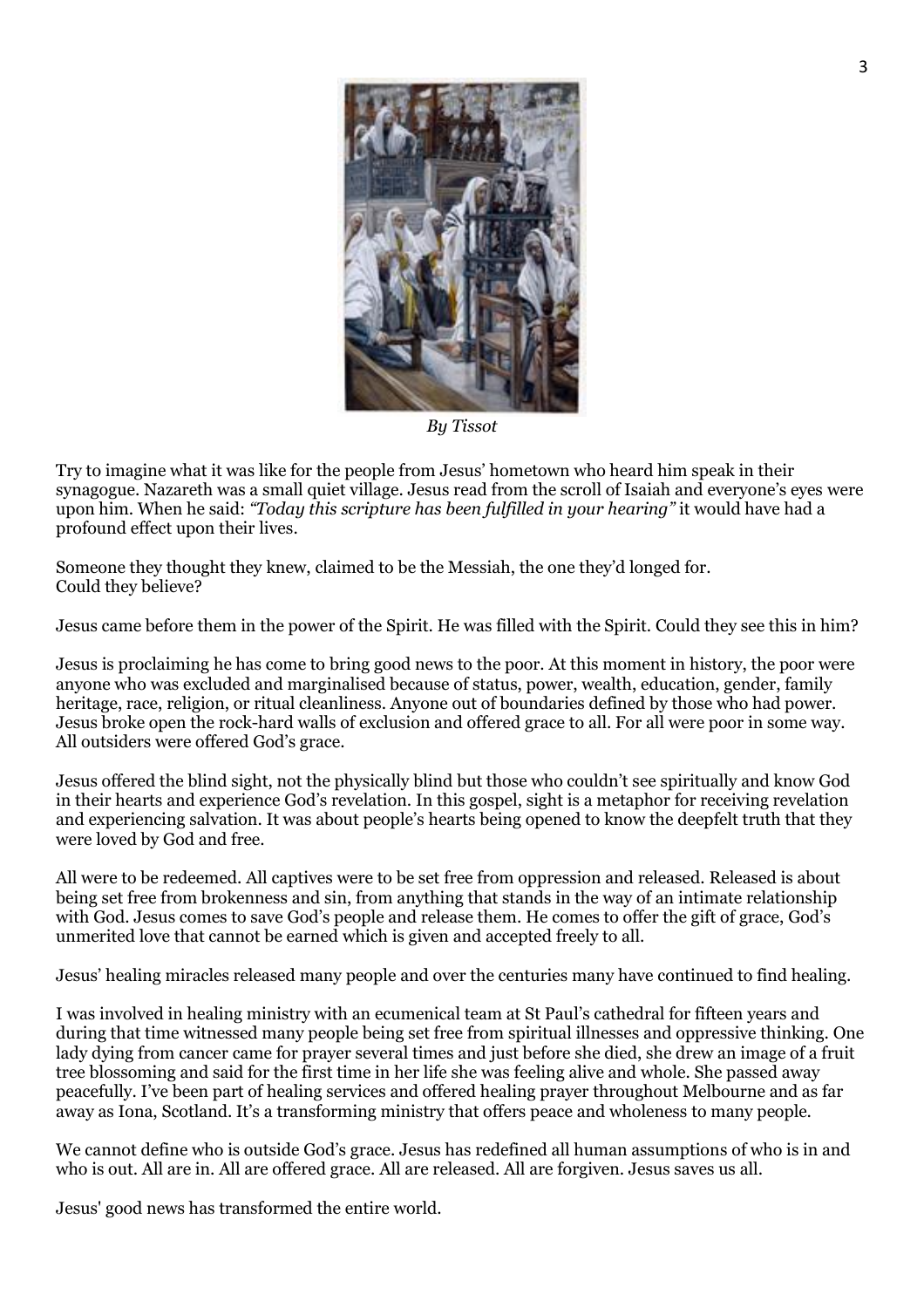

*By Tissot* 

Try to imagine what it was like for the people from Jesus' hometown who heard him speak in their synagogue. Nazareth was a small quiet village. Jesus read from the scroll of Isaiah and everyone's eyes were upon him. When he said: *"Today this scripture has been fulfilled in your hearing"* it would have had a profound effect upon their lives.

Someone they thought they knew, claimed to be the Messiah, the one they'd longed for. Could they believe?

Jesus came before them in the power of the Spirit. He was filled with the Spirit. Could they see this in him?

Jesus is proclaiming he has come to bring good news to the poor. At this moment in history, the poor were anyone who was excluded and marginalised because of status, power, wealth, education, gender, family heritage, race, religion, or ritual cleanliness. Anyone out of boundaries defined by those who had power. Jesus broke open the rock-hard walls of exclusion and offered grace to all. For all were poor in some way. All outsiders were offered God's grace.

Jesus offered the blind sight, not the physically blind but those who couldn't see spiritually and know God in their hearts and experience God's revelation. In this gospel, sight is a metaphor for receiving revelation and experiencing salvation. It was about people's hearts being opened to know the deepfelt truth that they were loved by God and free.

All were to be redeemed. All captives were to be set free from oppression and released. Released is about being set free from brokenness and sin, from anything that stands in the way of an intimate relationship with God. Jesus comes to save God's people and release them. He comes to offer the gift of grace, God's unmerited love that cannot be earned which is given and accepted freely to all.

Jesus' healing miracles released many people and over the centuries many have continued to find healing.

I was involved in healing ministry with an ecumenical team at St Paul's cathedral for fifteen years and during that time witnessed many people being set free from spiritual illnesses and oppressive thinking. One lady dying from cancer came for prayer several times and just before she died, she drew an image of a fruit tree blossoming and said for the first time in her life she was feeling alive and whole. She passed away peacefully. I've been part of healing services and offered healing prayer throughout Melbourne and as far away as Iona, Scotland. It's a transforming ministry that offers peace and wholeness to many people.

We cannot define who is outside God's grace. Jesus has redefined all human assumptions of who is in and who is out. All are in. All are offered grace. All are released. All are forgiven. Jesus saves us all.

Jesus' good news has transformed the entire world.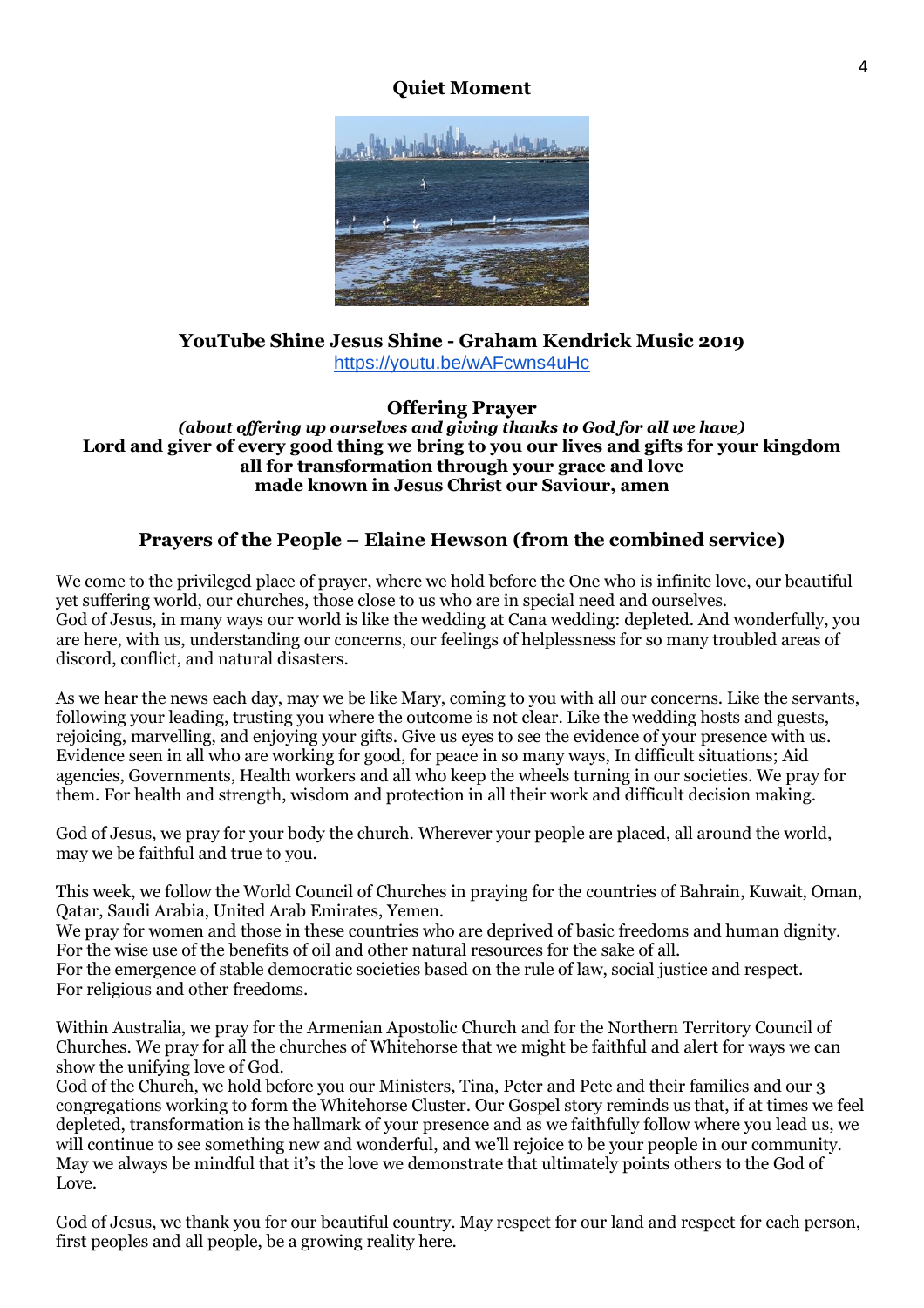# **Quiet Moment**



## **YouTube Shine Jesus Shine - Graham Kendrick Music 2019** <https://youtu.be/wAFcwns4uHc>

## **Offering Prayer**

*(about offering up ourselves and giving thanks to God for all we have)* **Lord and giver of every good thing we bring to you our lives and gifts for your kingdom all for transformation through your grace and love made known in Jesus Christ our Saviour, amen**

## **Prayers of the People – Elaine Hewson (from the combined service)**

We come to the privileged place of prayer, where we hold before the One who is infinite love, our beautiful yet suffering world, our churches, those close to us who are in special need and ourselves. God of Jesus, in many ways our world is like the wedding at Cana wedding: depleted. And wonderfully, you are here, with us, understanding our concerns, our feelings of helplessness for so many troubled areas of discord, conflict, and natural disasters.

As we hear the news each day, may we be like Mary, coming to you with all our concerns. Like the servants, following your leading, trusting you where the outcome is not clear. Like the wedding hosts and guests, rejoicing, marvelling, and enjoying your gifts. Give us eyes to see the evidence of your presence with us. Evidence seen in all who are working for good, for peace in so many ways, In difficult situations; Aid agencies, Governments, Health workers and all who keep the wheels turning in our societies. We pray for them. For health and strength, wisdom and protection in all their work and difficult decision making.

God of Jesus, we pray for your body the church. Wherever your people are placed, all around the world, may we be faithful and true to you.

This week, we follow the World Council of Churches in praying for the countries of Bahrain, Kuwait, Oman, Qatar, Saudi Arabia, United Arab Emirates, Yemen.

We pray for women and those in these countries who are deprived of basic freedoms and human dignity. For the wise use of the benefits of oil and other natural resources for the sake of all.

For the emergence of stable democratic societies based on the rule of law, social justice and respect. For religious and other freedoms.

Within Australia, we pray for the Armenian Apostolic Church and for the Northern Territory Council of Churches. We pray for all the churches of Whitehorse that we might be faithful and alert for ways we can show the unifying love of God.

God of the Church, we hold before you our Ministers, Tina, Peter and Pete and their families and our 3 congregations working to form the Whitehorse Cluster. Our Gospel story reminds us that, if at times we feel depleted, transformation is the hallmark of your presence and as we faithfully follow where you lead us, we will continue to see something new and wonderful, and we'll rejoice to be your people in our community. May we always be mindful that it's the love we demonstrate that ultimately points others to the God of Love.

God of Jesus, we thank you for our beautiful country. May respect for our land and respect for each person, first peoples and all people, be a growing reality here.